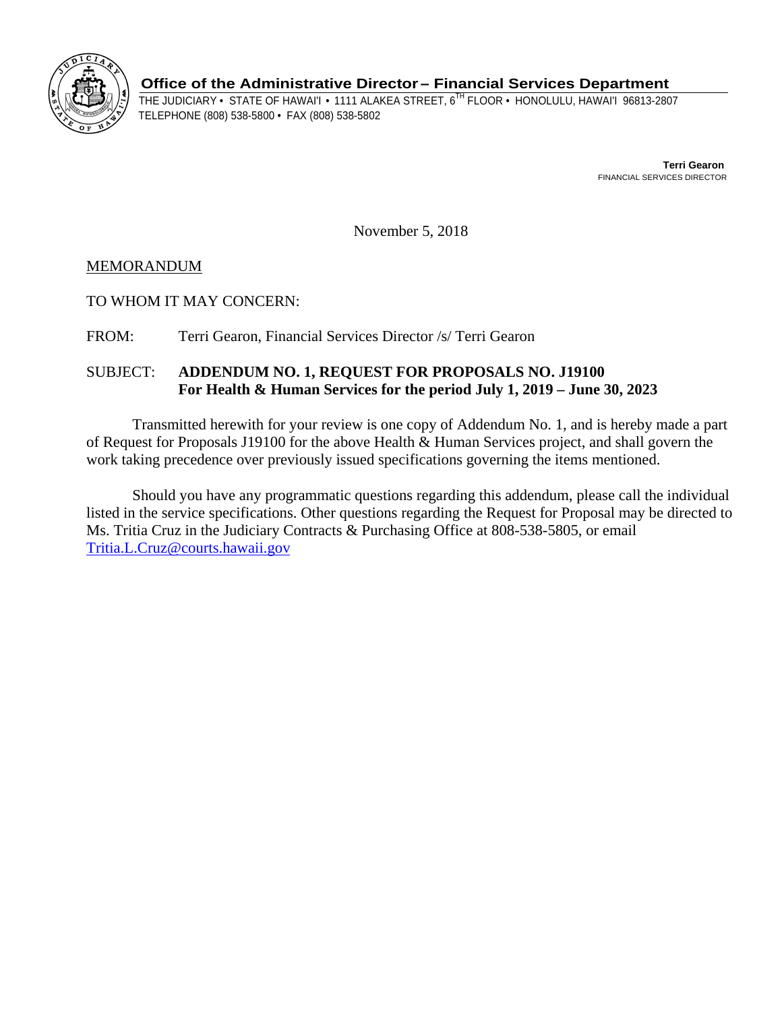

**Office of the Administrative Director– Financial Services Department** 

THE JUDICIARY • STATE OF HAWAI'I • 1111 ALAKEA STREET, 6<sup>TH</sup> FLOOR • HONOLULU, HAWAI'I 96813-2807<br>TELEPHONE (808) 538-5800 • FAX (808) 538-5802

**Terri Gearon**  FINANCIAL SERVICES DIRECTOR

November 5, 2018

## MEMORANDUM

TO WHOM IT MAY CONCERN:

FROM: Terri Gearon, Financial Services Director /s/ Terri Gearon

## SUBJECT: **ADDENDUM NO. 1, REQUEST FOR PROPOSALS NO. J19100 For Health & Human Services for the period July 1, 2019 – June 30, 2023**

Transmitted herewith for your review is one copy of Addendum No. 1, and is hereby made a part of Request for Proposals J19100 for the above Health & Human Services project, and shall govern the work taking precedence over previously issued specifications governing the items mentioned.

Should you have any programmatic questions regarding this addendum, please call the individual listed in the service specifications. Other questions regarding the Request for Proposal may be directed to Ms. Tritia Cruz in the Judiciary Contracts & Purchasing Office at 808-538-5805, or email Tritia.L.Cruz@courts.hawaii.gov